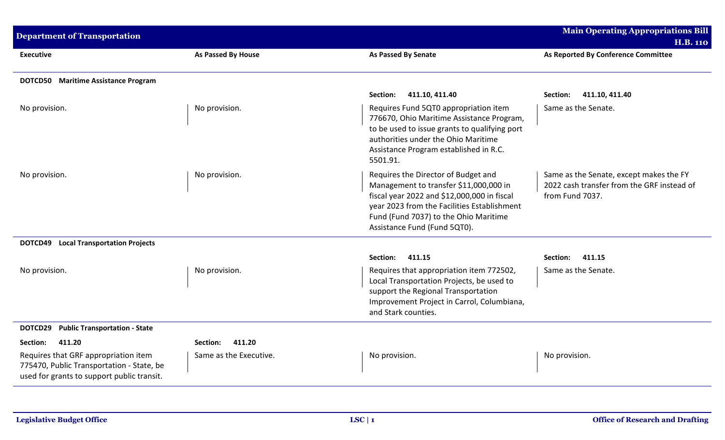| <b>Department of Transportation</b>                                                                                             |                        |                                                                                                                                                                                                                                                      | <b>Main Operating Appropriations Bill</b><br><b>H.B. 110</b>                                             |
|---------------------------------------------------------------------------------------------------------------------------------|------------------------|------------------------------------------------------------------------------------------------------------------------------------------------------------------------------------------------------------------------------------------------------|----------------------------------------------------------------------------------------------------------|
| <b>Executive</b>                                                                                                                | As Passed By House     | <b>As Passed By Senate</b>                                                                                                                                                                                                                           | As Reported By Conference Committee                                                                      |
| <b>DOTCD50</b> Maritime Assistance Program                                                                                      |                        |                                                                                                                                                                                                                                                      |                                                                                                          |
|                                                                                                                                 |                        | 411.10, 411.40<br>Section:                                                                                                                                                                                                                           | 411.10, 411.40<br>Section:                                                                               |
| No provision.                                                                                                                   | No provision.          | Requires Fund 5QT0 appropriation item<br>776670, Ohio Maritime Assistance Program,<br>to be used to issue grants to qualifying port<br>authorities under the Ohio Maritime<br>Assistance Program established in R.C.<br>5501.91.                     | Same as the Senate.                                                                                      |
| No provision.                                                                                                                   | No provision.          | Requires the Director of Budget and<br>Management to transfer \$11,000,000 in<br>fiscal year 2022 and \$12,000,000 in fiscal<br>year 2023 from the Facilities Establishment<br>Fund (Fund 7037) to the Ohio Maritime<br>Assistance Fund (Fund 5QT0). | Same as the Senate, except makes the FY<br>2022 cash transfer from the GRF instead of<br>from Fund 7037. |
| <b>DOTCD49</b> Local Transportation Projects                                                                                    |                        |                                                                                                                                                                                                                                                      |                                                                                                          |
|                                                                                                                                 |                        | Section:<br>411.15                                                                                                                                                                                                                                   | 411.15<br>Section:                                                                                       |
| No provision.                                                                                                                   | No provision.          | Requires that appropriation item 772502,<br>Local Transportation Projects, be used to<br>support the Regional Transportation<br>Improvement Project in Carrol, Columbiana,<br>and Stark counties.                                                    | Same as the Senate.                                                                                      |
| <b>Public Transportation - State</b><br>DOTCD29                                                                                 |                        |                                                                                                                                                                                                                                                      |                                                                                                          |
| 411.20<br>Section:                                                                                                              | 411.20<br>Section:     |                                                                                                                                                                                                                                                      |                                                                                                          |
| Requires that GRF appropriation item<br>775470, Public Transportation - State, be<br>used for grants to support public transit. | Same as the Executive. | No provision.                                                                                                                                                                                                                                        | No provision.                                                                                            |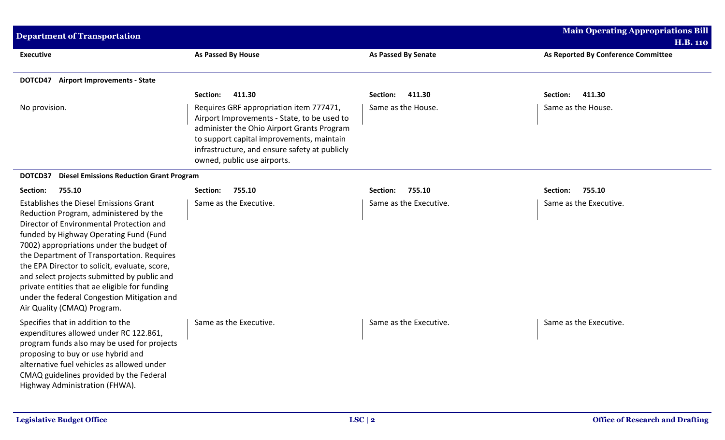| <b>Department of Transportation</b>                                                                                                                                                                                                                                                                                                                                                                                                                                                                    |                                                                                                                                                                                                                                                                   |                            | <b>Main Operating Appropriations Bill</b>              |
|--------------------------------------------------------------------------------------------------------------------------------------------------------------------------------------------------------------------------------------------------------------------------------------------------------------------------------------------------------------------------------------------------------------------------------------------------------------------------------------------------------|-------------------------------------------------------------------------------------------------------------------------------------------------------------------------------------------------------------------------------------------------------------------|----------------------------|--------------------------------------------------------|
| <b>Executive</b>                                                                                                                                                                                                                                                                                                                                                                                                                                                                                       | As Passed By House                                                                                                                                                                                                                                                | <b>As Passed By Senate</b> | <b>H.B. 110</b><br>As Reported By Conference Committee |
| <b>DOTCD47</b> Airport Improvements - State                                                                                                                                                                                                                                                                                                                                                                                                                                                            |                                                                                                                                                                                                                                                                   |                            |                                                        |
|                                                                                                                                                                                                                                                                                                                                                                                                                                                                                                        | 411.30<br>Section:                                                                                                                                                                                                                                                | 411.30<br>Section:         | 411.30<br>Section:                                     |
| No provision.                                                                                                                                                                                                                                                                                                                                                                                                                                                                                          | Requires GRF appropriation item 777471,<br>Airport Improvements - State, to be used to<br>administer the Ohio Airport Grants Program<br>to support capital improvements, maintain<br>infrastructure, and ensure safety at publicly<br>owned, public use airports. | Same as the House.         | Same as the House.                                     |
| DOTCD37<br><b>Diesel Emissions Reduction Grant Program</b>                                                                                                                                                                                                                                                                                                                                                                                                                                             |                                                                                                                                                                                                                                                                   |                            |                                                        |
| 755.10<br>Section:                                                                                                                                                                                                                                                                                                                                                                                                                                                                                     | 755.10<br>Section:                                                                                                                                                                                                                                                | 755.10<br>Section:         | 755.10<br>Section:                                     |
| <b>Establishes the Diesel Emissions Grant</b><br>Reduction Program, administered by the<br>Director of Environmental Protection and<br>funded by Highway Operating Fund (Fund<br>7002) appropriations under the budget of<br>the Department of Transportation. Requires<br>the EPA Director to solicit, evaluate, score,<br>and select projects submitted by public and<br>private entities that ae eligible for funding<br>under the federal Congestion Mitigation and<br>Air Quality (CMAQ) Program. | Same as the Executive.                                                                                                                                                                                                                                            | Same as the Executive.     | Same as the Executive.                                 |
| Specifies that in addition to the<br>expenditures allowed under RC 122.861,<br>program funds also may be used for projects<br>proposing to buy or use hybrid and<br>alternative fuel vehicles as allowed under<br>CMAQ guidelines provided by the Federal<br>Highway Administration (FHWA).                                                                                                                                                                                                            | Same as the Executive.                                                                                                                                                                                                                                            | Same as the Executive.     | Same as the Executive.                                 |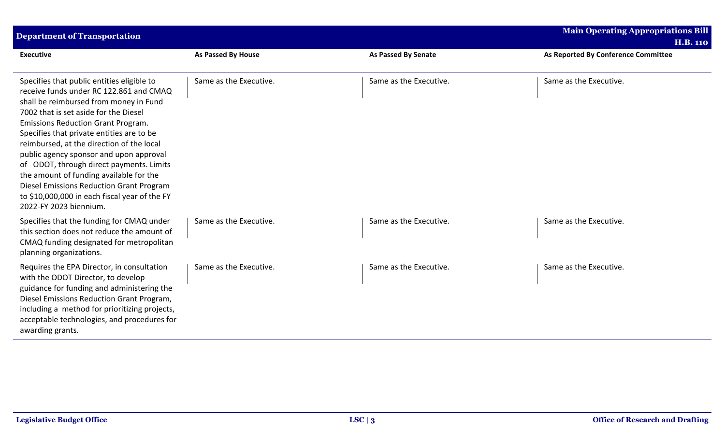| <b>Department of Transportation</b>                                                                                                                                                                                                                                                                                                                                                                                                                                                                                                                                      |                           |                            | <b>Main Operating Appropriations Bill</b><br><b>H.B. 110</b> |
|--------------------------------------------------------------------------------------------------------------------------------------------------------------------------------------------------------------------------------------------------------------------------------------------------------------------------------------------------------------------------------------------------------------------------------------------------------------------------------------------------------------------------------------------------------------------------|---------------------------|----------------------------|--------------------------------------------------------------|
| <b>Executive</b>                                                                                                                                                                                                                                                                                                                                                                                                                                                                                                                                                         | <b>As Passed By House</b> | <b>As Passed By Senate</b> | As Reported By Conference Committee                          |
| Specifies that public entities eligible to<br>receive funds under RC 122.861 and CMAQ<br>shall be reimbursed from money in Fund<br>7002 that is set aside for the Diesel<br><b>Emissions Reduction Grant Program.</b><br>Specifies that private entities are to be<br>reimbursed, at the direction of the local<br>public agency sponsor and upon approval<br>of ODOT, through direct payments. Limits<br>the amount of funding available for the<br>Diesel Emissions Reduction Grant Program<br>to \$10,000,000 in each fiscal year of the FY<br>2022-FY 2023 biennium. | Same as the Executive.    | Same as the Executive.     | Same as the Executive.                                       |
| Specifies that the funding for CMAQ under<br>this section does not reduce the amount of<br>CMAQ funding designated for metropolitan<br>planning organizations.                                                                                                                                                                                                                                                                                                                                                                                                           | Same as the Executive.    | Same as the Executive.     | Same as the Executive.                                       |
| Requires the EPA Director, in consultation<br>with the ODOT Director, to develop<br>guidance for funding and administering the<br>Diesel Emissions Reduction Grant Program,<br>including a method for prioritizing projects,<br>acceptable technologies, and procedures for<br>awarding grants.                                                                                                                                                                                                                                                                          | Same as the Executive.    | Same as the Executive.     | Same as the Executive.                                       |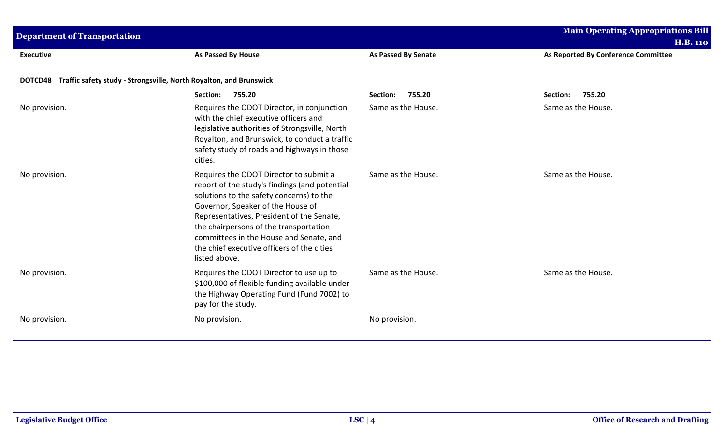| <b>Department of Transportation</b>                                                  |                                                                                                                                                                                                                                                                                                                                                                           |                            | <b>Main Operating Appropriations Bill</b><br><b>H.B. 110</b> |
|--------------------------------------------------------------------------------------|---------------------------------------------------------------------------------------------------------------------------------------------------------------------------------------------------------------------------------------------------------------------------------------------------------------------------------------------------------------------------|----------------------------|--------------------------------------------------------------|
| <b>Executive</b>                                                                     | As Passed By House                                                                                                                                                                                                                                                                                                                                                        | <b>As Passed By Senate</b> | As Reported By Conference Committee                          |
| Traffic safety study - Strongsville, North Royalton, and Brunswick<br><b>DOTCD48</b> |                                                                                                                                                                                                                                                                                                                                                                           |                            |                                                              |
|                                                                                      | Section:<br>755.20                                                                                                                                                                                                                                                                                                                                                        | Section:<br>755.20         | 755.20<br>Section:                                           |
| No provision.                                                                        | Requires the ODOT Director, in conjunction<br>with the chief executive officers and<br>legislative authorities of Strongsville, North<br>Royalton, and Brunswick, to conduct a traffic<br>safety study of roads and highways in those<br>cities.                                                                                                                          | Same as the House.         | Same as the House.                                           |
| No provision.                                                                        | Requires the ODOT Director to submit a<br>report of the study's findings (and potential<br>solutions to the safety concerns) to the<br>Governor, Speaker of the House of<br>Representatives, President of the Senate,<br>the chairpersons of the transportation<br>committees in the House and Senate, and<br>the chief executive officers of the cities<br>listed above. | Same as the House.         | Same as the House.                                           |
| No provision.                                                                        | Requires the ODOT Director to use up to<br>\$100,000 of flexible funding available under<br>the Highway Operating Fund (Fund 7002) to<br>pay for the study.                                                                                                                                                                                                               | Same as the House.         | Same as the House.                                           |
| No provision.                                                                        | No provision.                                                                                                                                                                                                                                                                                                                                                             | No provision.              |                                                              |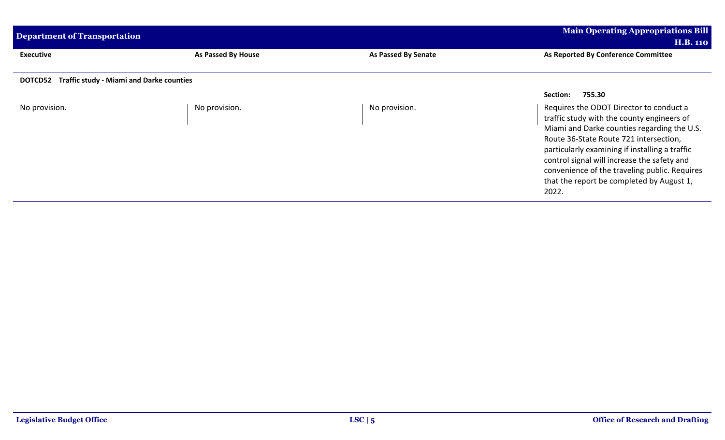| <b>Department of Transportation</b>                               |                    |                     | <b>Main Operating Appropriations Bill</b>                                                                                                                                                                                                                                                                                                                                              |  |
|-------------------------------------------------------------------|--------------------|---------------------|----------------------------------------------------------------------------------------------------------------------------------------------------------------------------------------------------------------------------------------------------------------------------------------------------------------------------------------------------------------------------------------|--|
|                                                                   |                    |                     | <b>H.B. 110</b>                                                                                                                                                                                                                                                                                                                                                                        |  |
| <b>Executive</b>                                                  | As Passed By House | As Passed By Senate | As Reported By Conference Committee                                                                                                                                                                                                                                                                                                                                                    |  |
| <b>Traffic study - Miami and Darke counties</b><br><b>DOTCD52</b> |                    |                     |                                                                                                                                                                                                                                                                                                                                                                                        |  |
|                                                                   |                    |                     | 755.30<br>Section:                                                                                                                                                                                                                                                                                                                                                                     |  |
| No provision.                                                     | No provision.      | No provision.       | Requires the ODOT Director to conduct a<br>traffic study with the county engineers of<br>Miami and Darke counties regarding the U.S.<br>Route 36-State Route 721 intersection,<br>particularly examining if installing a traffic<br>control signal will increase the safety and<br>convenience of the traveling public. Requires<br>that the report be completed by August 1,<br>2022. |  |